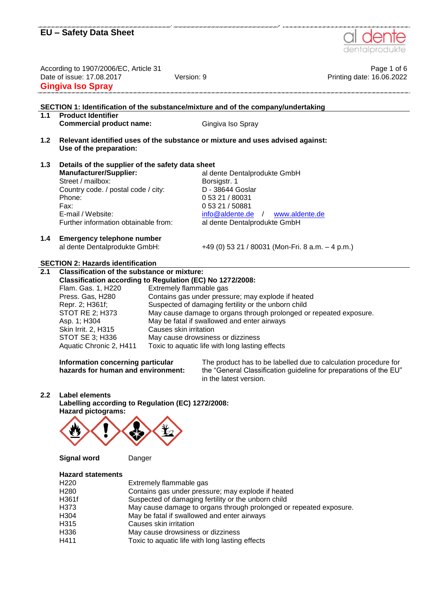

| According to 1907/2006/EC, Article 31<br>Date of issue: 17.08.2017<br><b>Gingiva Iso Spray</b> |                                                                                                              | Version: 9              |                         | Page 1 of 6<br>Printing date: 16.06.2022                                                                                             |  |  |
|------------------------------------------------------------------------------------------------|--------------------------------------------------------------------------------------------------------------|-------------------------|-------------------------|--------------------------------------------------------------------------------------------------------------------------------------|--|--|
| 1.1                                                                                            | <b>Product Identifier</b><br><b>Commercial product name:</b>                                                 |                         |                         | SECTION 1: Identification of the substance/mixture and of the company/undertaking<br>Gingiva Iso Spray                               |  |  |
|                                                                                                |                                                                                                              |                         |                         |                                                                                                                                      |  |  |
| 1.2                                                                                            | Use of the preparation:                                                                                      |                         |                         | Relevant identified uses of the substance or mixture and uses advised against:                                                       |  |  |
| 1.3                                                                                            | Details of the supplier of the safety data sheet                                                             |                         |                         |                                                                                                                                      |  |  |
|                                                                                                | <b>Manufacturer/Supplier:</b>                                                                                |                         |                         | al dente Dentalprodukte GmbH                                                                                                         |  |  |
|                                                                                                | Street / mailbox:                                                                                            |                         |                         | Borsigstr. 1<br>D - 38644 Goslar                                                                                                     |  |  |
|                                                                                                | Country code. / postal code / city:<br>Phone:                                                                |                         |                         | 0 53 21 / 80031                                                                                                                      |  |  |
|                                                                                                | Fax:                                                                                                         |                         |                         | 0 53 21 / 50881                                                                                                                      |  |  |
|                                                                                                | E-mail / Website:                                                                                            |                         |                         | info@aldente.de<br>www.aldente.de<br>$\sqrt{2}$                                                                                      |  |  |
|                                                                                                | Further information obtainable from:                                                                         |                         |                         | al dente Dentalprodukte GmbH                                                                                                         |  |  |
| 1.4                                                                                            | <b>Emergency telephone number</b>                                                                            |                         |                         |                                                                                                                                      |  |  |
|                                                                                                | al dente Dentalprodukte GmbH:                                                                                |                         |                         | +49 (0) 53 21 / 80031 (Mon-Fri. 8 a.m. $-$ 4 p.m.)                                                                                   |  |  |
|                                                                                                |                                                                                                              |                         |                         |                                                                                                                                      |  |  |
|                                                                                                | <b>SECTION 2: Hazards identification</b>                                                                     |                         |                         |                                                                                                                                      |  |  |
| 2.1                                                                                            | Classification of the substance or mixture:<br>Classification according to Regulation (EC) No 1272/2008:     |                         |                         |                                                                                                                                      |  |  |
|                                                                                                | Flam. Gas. 1, H220                                                                                           |                         | Extremely flammable gas |                                                                                                                                      |  |  |
|                                                                                                | Press. Gas, H280                                                                                             |                         |                         | Contains gas under pressure; may explode if heated                                                                                   |  |  |
|                                                                                                | Repr. 2; H361f;<br>Suspected of damaging fertility or the unborn child                                       |                         |                         |                                                                                                                                      |  |  |
|                                                                                                | <b>STOT RE 2; H373</b>                                                                                       |                         |                         | May cause damage to organs through prolonged or repeated exposure.                                                                   |  |  |
|                                                                                                | May be fatal if swallowed and enter airways<br>Asp. 1; H304<br>Causes skin irritation<br>Skin Irrit. 2, H315 |                         |                         |                                                                                                                                      |  |  |
|                                                                                                | STOT SE 3; H336                                                                                              |                         |                         | May cause drowsiness or dizziness                                                                                                    |  |  |
|                                                                                                | Aquatic Chronic 2, H411                                                                                      |                         |                         | Toxic to aquatic life with long lasting effects                                                                                      |  |  |
|                                                                                                |                                                                                                              |                         |                         |                                                                                                                                      |  |  |
|                                                                                                | Information concerning particular<br>hazards for human and environment:                                      |                         |                         | The product has to be labelled due to calculation procedure for<br>the "General Classification guideline for preparations of the EU" |  |  |
|                                                                                                |                                                                                                              |                         |                         | in the latest version.                                                                                                               |  |  |
|                                                                                                |                                                                                                              |                         |                         |                                                                                                                                      |  |  |
| 2.2                                                                                            | Label elements<br>Labelling according to Regulation (EC) 1272/2008:                                          |                         |                         |                                                                                                                                      |  |  |
|                                                                                                | <b>Hazard pictograms:</b>                                                                                    |                         |                         |                                                                                                                                      |  |  |
|                                                                                                |                                                                                                              |                         |                         |                                                                                                                                      |  |  |
|                                                                                                |                                                                                                              |                         |                         |                                                                                                                                      |  |  |
|                                                                                                |                                                                                                              |                         |                         |                                                                                                                                      |  |  |
|                                                                                                |                                                                                                              |                         |                         |                                                                                                                                      |  |  |
|                                                                                                | <b>Signal word</b>                                                                                           | Danger                  |                         |                                                                                                                                      |  |  |
|                                                                                                | <b>Hazard statements</b>                                                                                     |                         |                         |                                                                                                                                      |  |  |
|                                                                                                | H <sub>220</sub>                                                                                             | Extremely flammable gas |                         |                                                                                                                                      |  |  |
|                                                                                                | H <sub>280</sub>                                                                                             |                         |                         | Contains gas under pressure; may explode if heated                                                                                   |  |  |
|                                                                                                | H361f                                                                                                        |                         |                         | Suspected of damaging fertility or the unborn child                                                                                  |  |  |
|                                                                                                | H373                                                                                                         |                         |                         | May cause damage to organs through prolonged or repeated exposure.                                                                   |  |  |
|                                                                                                | H304<br>May be fatal if swallowed and enter airways<br>H315<br>Causes skin irritation                        |                         |                         |                                                                                                                                      |  |  |
|                                                                                                | H336<br>May cause drowsiness or dizziness                                                                    |                         |                         |                                                                                                                                      |  |  |

H411 Toxic to aquatic life with long lasting effects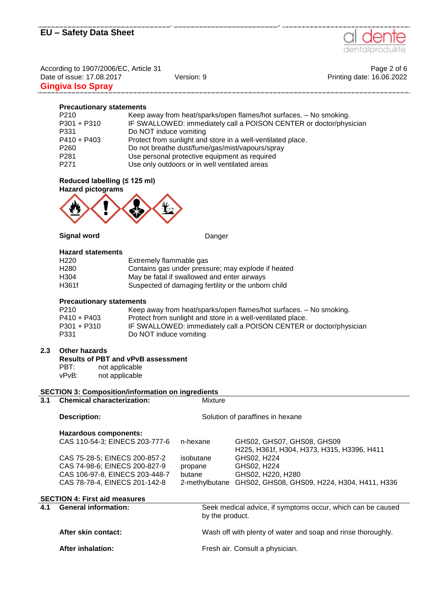

.<br>Canada da canada da canada da canada da canada da canada

According to 1907/2006/EC, Article 31 Page 2 of 6 Date of issue: 17.08.2017 Version: 9 Version: 9 Printing date: 16.06.2022 **Gingiva Iso Spray** 

#### **Precautionary statements**

| P <sub>210</sub> | Keep away from heat/sparks/open flames/hot surfaces. - No smoking. |
|------------------|--------------------------------------------------------------------|
| $P301 + P310$    | IF SWALLOWED: immediately call a POISON CENTER or doctor/physician |
| P331             | Do NOT induce vomiting                                             |
| $P410 + P403$    | Protect from sunlight and store in a well-ventilated place.        |
| P <sub>260</sub> | Do not breathe dust/fume/gas/mist/vapours/spray                    |
| P <sub>281</sub> | Use personal protective equipment as required                      |
| P <sub>271</sub> | Use only outdoors or in well ventilated areas                      |

#### **Reduced labelling (≤ 125 ml)**



#### **Signal word** Danger

#### **Hazard statements**

| H <sub>220</sub> | Extremely flammable gas                             |
|------------------|-----------------------------------------------------|
| H <sub>280</sub> | Contains gas under pressure; may explode if heated  |
| H <sub>304</sub> | May be fatal if swallowed and enter airways         |
| H361f            | Suspected of damaging fertility or the unborn child |

#### **Precautionary statements**

| P <sub>210</sub> | Keep away from heat/sparks/open flames/hot surfaces. - No smoking. |
|------------------|--------------------------------------------------------------------|
| $P410 + P403$    | Protect from sunlight and store in a well-ventilated place.        |
| $P301 + P310$    | IF SWALLOWED: immediately call a POISON CENTER or doctor/physician |
| P331             | Do NOT induce vomiting                                             |

### **2.3 Other hazards**

| <b>Results of PBT and vPvB assessment</b> |   |  |  |
|-------------------------------------------|---|--|--|
| ----                                      | . |  |  |

```
PBT: not applicable
vPvB: not applicable
```
## **SECTION 3: Composition/information on ingredients**

| 3.1 | <b>Chemical characterization:</b>    | Mixture         |                                                              |  |
|-----|--------------------------------------|-----------------|--------------------------------------------------------------|--|
|     | <b>Description:</b>                  |                 | Solution of paraffines in hexane                             |  |
|     | <b>Hazardous components:</b>         |                 |                                                              |  |
|     | CAS 110-54-3; EINECS 203-777-6       | n-hexane        | GHS02, GHS07, GHS08, GHS09                                   |  |
|     |                                      |                 | H225, H361f, H304, H373, H315, H3396, H411                   |  |
|     | CAS 75-28-5; EINECS 200-857-2        | isobutane       | GHS02, H224                                                  |  |
|     | CAS 74-98-6; EINECS 200-827-9        | propane         | GHS02, H224                                                  |  |
|     | CAS 106-97-8, EINECS 203-448-7       | butane          | GHS02, H220, H280                                            |  |
|     | CAS 78-78-4, EINECS 201-142-8        | 2-methylbutane  | GHS02, GHS08, GHS09, H224, H304, H411, H336                  |  |
|     | <b>SECTION 4: First aid measures</b> |                 |                                                              |  |
| 4.1 | <b>General information:</b>          |                 | Seek medical advice, if symptoms occur, which can be caused  |  |
|     |                                      | by the product. |                                                              |  |
|     | After skin contact:                  |                 | Wash off with plenty of water and soap and rinse thoroughly. |  |
|     |                                      |                 |                                                              |  |

After inhalation: **After inhalation:** Fresh air. Consult a physician.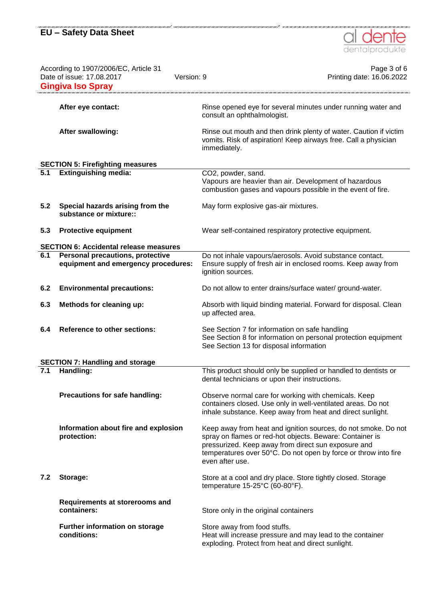

| According to 1907/2006/EC, Article 31<br>Date of issue: 17.08.2017<br><b>Gingiva Iso Spray</b> |                                                                                | Version: 9         | Page 3 of 6<br>Printing date: 16.06.2022                                                                                                                                                                                                             |
|------------------------------------------------------------------------------------------------|--------------------------------------------------------------------------------|--------------------|------------------------------------------------------------------------------------------------------------------------------------------------------------------------------------------------------------------------------------------------------|
|                                                                                                | After eye contact:                                                             |                    | Rinse opened eye for several minutes under running water and<br>consult an ophthalmologist.                                                                                                                                                          |
|                                                                                                | <b>After swallowing:</b>                                                       | immediately.       | Rinse out mouth and then drink plenty of water. Caution if victim<br>vomits. Risk of aspiration! Keep airways free. Call a physician                                                                                                                 |
|                                                                                                | <b>SECTION 5: Firefighting measures</b>                                        |                    |                                                                                                                                                                                                                                                      |
| 5.1                                                                                            | <b>Extinguishing media:</b>                                                    | CO2, powder, sand. | Vapours are heavier than air. Development of hazardous<br>combustion gases and vapours possible in the event of fire.                                                                                                                                |
| 5.2                                                                                            | Special hazards arising from the<br>substance or mixture::                     |                    | May form explosive gas-air mixtures.                                                                                                                                                                                                                 |
| 5.3                                                                                            | <b>Protective equipment</b>                                                    |                    | Wear self-contained respiratory protective equipment.                                                                                                                                                                                                |
|                                                                                                | <b>SECTION 6: Accidental release measures</b>                                  |                    |                                                                                                                                                                                                                                                      |
| 6.1                                                                                            | <b>Personal precautions, protective</b><br>equipment and emergency procedures: | ignition sources.  | Do not inhale vapours/aerosols. Avoid substance contact.<br>Ensure supply of fresh air in enclosed rooms. Keep away from                                                                                                                             |
| 6.2                                                                                            | <b>Environmental precautions:</b>                                              |                    | Do not allow to enter drains/surface water/ground-water.                                                                                                                                                                                             |
| 6.3                                                                                            | Methods for cleaning up:                                                       | up affected area.  | Absorb with liquid binding material. Forward for disposal. Clean                                                                                                                                                                                     |
| 6.4                                                                                            | <b>Reference to other sections:</b>                                            |                    | See Section 7 for information on safe handling<br>See Section 8 for information on personal protection equipment<br>See Section 13 for disposal information                                                                                          |
|                                                                                                | <b>SECTION 7: Handling and storage</b>                                         |                    |                                                                                                                                                                                                                                                      |
| 7.1                                                                                            | Handling:                                                                      |                    | This product should only be supplied or handled to dentists or<br>dental technicians or upon their instructions.                                                                                                                                     |
|                                                                                                | Precautions for safe handling:                                                 |                    | Observe normal care for working with chemicals. Keep<br>containers closed. Use only in well-ventilated areas. Do not<br>inhale substance. Keep away from heat and direct sunlight.                                                                   |
|                                                                                                | Information about fire and explosion<br>protection:                            | even after use.    | Keep away from heat and ignition sources, do not smoke. Do not<br>spray on flames or red-hot objects. Beware: Container is<br>pressurized. Keep away from direct sun exposure and<br>temperatures over 50°C. Do not open by force or throw into fire |
| 7.2                                                                                            | Storage:                                                                       |                    | Store at a cool and dry place. Store tightly closed. Storage<br>temperature 15-25°C (60-80°F).                                                                                                                                                       |
|                                                                                                | Requirements at storerooms and<br>containers:                                  |                    | Store only in the original containers                                                                                                                                                                                                                |
|                                                                                                | Further information on storage<br>conditions:                                  |                    | Store away from food stuffs.<br>Heat will increase pressure and may lead to the container<br>exploding. Protect from heat and direct sunlight.                                                                                                       |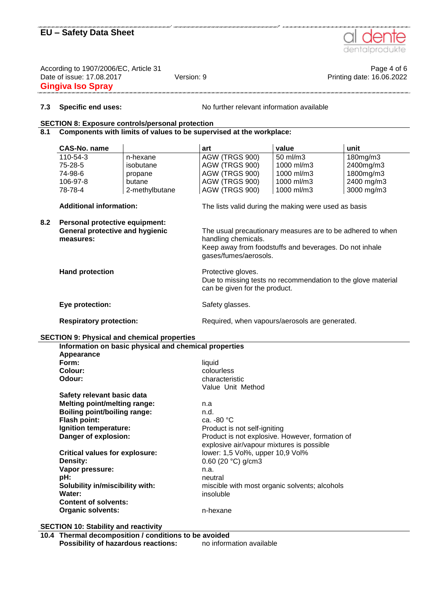

According to 1907/2006/EC, Article 31 **Page 4 of 6** Page 4 of 6 Date of issue: 17.08.2017 Version: 9 Version: 9 Printing date: 16.06.2022 **Gingiva Iso Spray**

**7.3 Specific end uses:** No further relevant information available

### **SECTION 8: Exposure controls/personal protection**

### **8.1 Components with limits of values to be supervised at the workplace:**

|     | CAS-No. name                                                                   |                                                       | art                                                                                                                                                                  | value      | unit       |  |  |
|-----|--------------------------------------------------------------------------------|-------------------------------------------------------|----------------------------------------------------------------------------------------------------------------------------------------------------------------------|------------|------------|--|--|
|     | 110-54-3                                                                       | n-hexane                                              | AGW (TRGS 900)                                                                                                                                                       | 50 ml/m3   | 180mg/m3   |  |  |
|     | 75-28-5                                                                        | isobutane                                             | AGW (TRGS 900)                                                                                                                                                       | 1000 ml/m3 | 2400mg/m3  |  |  |
|     | 74-98-6                                                                        | propane                                               | AGW (TRGS 900)                                                                                                                                                       | 1000 ml/m3 | 1800mg/m3  |  |  |
|     | 106-97-8                                                                       | butane                                                | AGW (TRGS 900)                                                                                                                                                       | 1000 ml/m3 | 2400 mg/m3 |  |  |
|     | 78-78-4                                                                        | 2-methylbutane                                        | AGW (TRGS 900)                                                                                                                                                       | 1000 ml/m3 | 3000 mg/m3 |  |  |
|     |                                                                                |                                                       |                                                                                                                                                                      |            |            |  |  |
|     | <b>Additional information:</b>                                                 |                                                       | The lists valid during the making were used as basis                                                                                                                 |            |            |  |  |
| 8.2 | Personal protective equipment:<br>General protective and hygienic<br>measures: |                                                       | The usual precautionary measures are to be adhered to when<br>handling chemicals.<br>Keep away from foodstuffs and beverages. Do not inhale<br>gases/fumes/aerosols. |            |            |  |  |
|     | <b>Hand protection</b><br>Eye protection:                                      |                                                       | Protective gloves.<br>Due to missing tests no recommendation to the glove material<br>can be given for the product.                                                  |            |            |  |  |
|     |                                                                                |                                                       | Safety glasses.                                                                                                                                                      |            |            |  |  |
|     | <b>Respiratory protection:</b>                                                 |                                                       | Required, when vapours/aerosols are generated.                                                                                                                       |            |            |  |  |
|     |                                                                                | <b>SECTION 9: Physical and chemical properties</b>    |                                                                                                                                                                      |            |            |  |  |
|     |                                                                                | Information on basic physical and chemical properties |                                                                                                                                                                      |            |            |  |  |
|     | Appearance                                                                     |                                                       |                                                                                                                                                                      |            |            |  |  |
|     | Form:                                                                          |                                                       | liquid                                                                                                                                                               |            |            |  |  |
|     | Colour:                                                                        |                                                       | colourless                                                                                                                                                           |            |            |  |  |
|     | Odour:                                                                         |                                                       | characteristic                                                                                                                                                       |            |            |  |  |
|     |                                                                                |                                                       | Value Unit Method                                                                                                                                                    |            |            |  |  |
|     | Safety relevant basic data                                                     |                                                       |                                                                                                                                                                      |            |            |  |  |
|     | <b>Melting point/melting range:</b>                                            |                                                       | n.a                                                                                                                                                                  |            |            |  |  |
|     | <b>Boiling point/boiling range:</b>                                            |                                                       | n.d.                                                                                                                                                                 |            |            |  |  |
|     | Flash point:                                                                   |                                                       | ca. -80 °C                                                                                                                                                           |            |            |  |  |
|     | Ignition temperature:                                                          |                                                       | Product is not self-igniting                                                                                                                                         |            |            |  |  |
|     | Danger of explosion:<br><b>Critical values for explosure:</b><br>Density:      |                                                       | Product is not explosive. However, formation of<br>explosive air/vapour mixtures is possible                                                                         |            |            |  |  |
|     |                                                                                |                                                       | lower: 1,5 Vol%, upper 10,9 Vol%                                                                                                                                     |            |            |  |  |
|     |                                                                                |                                                       | 0.60 (20 °C) g/cm3                                                                                                                                                   |            |            |  |  |
|     | Vapor pressure:                                                                |                                                       | n.a.                                                                                                                                                                 |            |            |  |  |
|     | pH:                                                                            |                                                       | neutral                                                                                                                                                              |            |            |  |  |
|     | Solubility in/miscibility with:                                                |                                                       | miscible with most organic solvents; alcohols                                                                                                                        |            |            |  |  |
|     | Water:                                                                         |                                                       | insoluble                                                                                                                                                            |            |            |  |  |
|     | <b>Content of solvents:</b>                                                    |                                                       |                                                                                                                                                                      |            |            |  |  |
|     | <b>Organic solvents:</b>                                                       |                                                       | n-hexane                                                                                                                                                             |            |            |  |  |
|     |                                                                                |                                                       |                                                                                                                                                                      |            |            |  |  |

**SECTION 10: Stability and reactivity**

**10.4 Thermal decomposition / conditions to be avoided Possibility of hazardous reactions:** no information available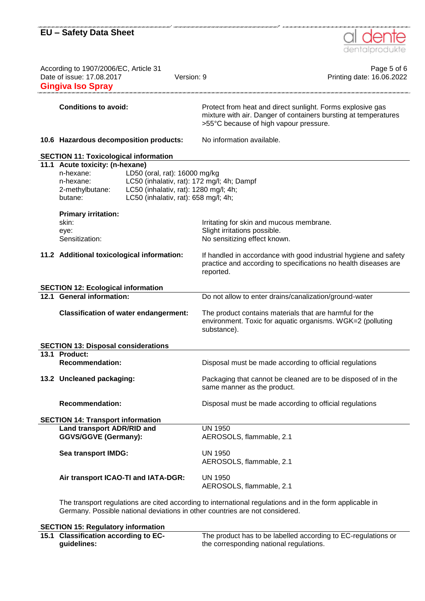# **EU – Safety Data Sheet** According to 1907/2006/EC, Article 31 **Page 5 of 6** Page 5 of 6 Date of issue: 17.08.2017 Version: 9 Printing date: 16.06.2022 **Gingiva Iso Spray Conditions to avoid:** Protect from heat and direct sunlight. Forms explosive gas mixture with air. Danger of containers bursting at temperatures >55°C because of high vapour pressure. **10.6 Hazardous decomposition products:** No information available. **SECTION 11: Toxicological information 11.1 Acute toxicity: (n-hexane)** n-hexane: LD50 (oral, rat): 16000 mg/kg n-hexane: LC50 (inhalativ, rat): 172 mg/l; 4h; Dampf 2-methylbutane: LC50 (inhalativ, rat): 1280 mg/l; 4h; butane: LC50 (inhalativ, rat): 658 mg/l; 4h; **Primary irritation:** skin: Initating for skin and mucous membrane. eye: Slight irritations possible. Sensitization: No sensitizing effect known. **11.2 Additional toxicological information:** If handled in accordance with good industrial hygiene and safety practice and according to specifications no health diseases are reported. **SECTION 12: Ecological information 12.1 General information:** Do not allow to enter drains/canalization/ground-water **Classification of water endangerment:** The product contains materials that are harmful for the environment. Toxic for aquatic organisms. WGK=2 (polluting substance). **SECTION 13: Disposal considerations 13.1 Product: Recommendation:** Disposal must be made according to official regulations **13.2 Uncleaned packaging:** Packaging that cannot be cleaned are to be disposed of in the same manner as the product. **Recommendation:** Disposal must be made according to official regulations **SECTION 14: Transport information Land transport ADR/RID and GGVS/GGVE (Germany):** UN 1950 AEROSOLS, flammable, 2.1 **Sea transport IMDG:** UN 1950 AEROSOLS, flammable, 2.1 **Air transport ICAO-TI and IATA-DGR:** UN 1950 AEROSOLS, flammable, 2.1

The transport regulations are cited according to international regulations and in the form applicable in Germany. Possible national deviations in other countries are not considered.

**SECTION 15: Regulatory information 15.1 Classification according to ECguidelines:** The product has to be labelled according to EC-regulations or the corresponding national regulations.